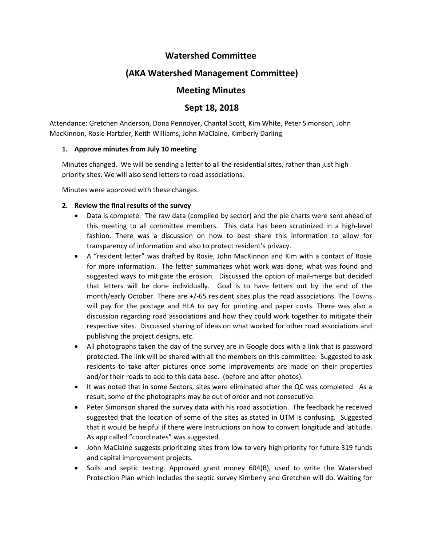## **Watershed Committee**

# **(AKA Watershed Management Committee)**

# **Meeting Minutes**

### **Sept 18, 2018**

Attendance: Gretchen Anderson, Dona Pennoyer, Chantal Scott, Kim White, Peter Simonson, John MacKinnon, Rosie Hartzler, Keith Williams, John MaClaine, Kimberly Darling

#### **1. Approve minutes from July 10 meeting**

Minutes changed. We will be sending a letter to all the residential sites, rather than just high priority sites. We will also send letters to road associations.

Minutes were approved with these changes.

#### **2. Review the final results of the survey**

- Data is complete. The raw data (compiled by sector) and the pie charts were sent ahead of this meeting to all committee members. This data has been scrutinized in a high-level fashion. There was a discussion on how to best share this information to allow for transparency of information and also to protect resident's privacy.
- A "resident letter" was drafted by Rosie, John MacKinnon and Kim with a contact of Rosie for more information. The letter summarizes what work was done, what was found and suggested ways to mitigate the erosion. Discussed the option of mail-merge but decided that letters will be done individually. Goal is to have letters out by the end of the month/early October. There are +/-65 resident sites plus the road associations. The Towns will pay for the postage and HLA to pay for printing and paper costs. There was also a discussion regarding road associations and how they could work together to mitigate their respective sites. Discussed sharing of ideas on what worked for other road associations and publishing the project designs, etc.
- All photographs taken the day of the survey are in Google docs with a link that is password protected. The link will be shared with all the members on this committee. Suggested to ask residents to take after pictures once some improvements are made on their properties and/or their roads to add to this data base. (before and after photos).
- It was noted that in some Sectors, sites were eliminated after the QC was completed. As a result, some of the photographs may be out of order and not consecutive.
- Peter Simonson shared the survey data with his road association. The feedback he received suggested that the location of some of the sites as stated in UTM is confusing. Suggested that it would be helpful if there were instructions on how to convert longitude and latitude. As app called "coordinates" was suggested.
- John MaClaine suggests prioritizing sites from low to very high priority for future 319 funds and capital improvement projects.
- Soils and septic testing. Approved grant money 604(B), used to write the Watershed Protection Plan which includes the septic survey Kimberly and Gretchen will do. Waiting for